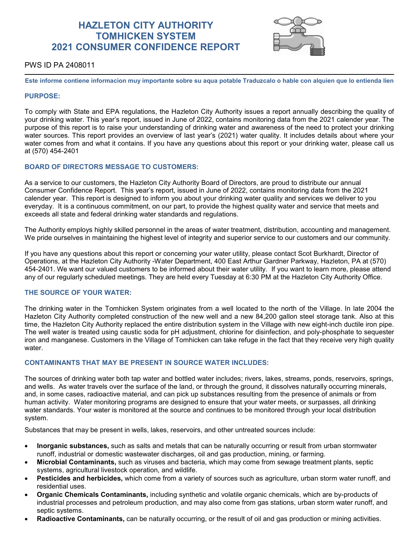# **HAZLETON CITY AUTHORITY TOMHICKEN SYSTEM 2021 CONSUMER CONFIDENCE REPORT**



# PWS ID PA 2408011

**Este informe contiene informacion muy importante sobre su aqua potable Traduzcalo o hable con alquien que lo entienda lien**

## **PURPOSE:**

To comply with State and EPA regulations, the Hazleton City Authority issues a report annually describing the quality of your drinking water. This year's report, issued in June of 2022, contains monitoring data from the 2021 calender year. The purpose of this report is to raise your understanding of drinking water and awareness of the need to protect your drinking water sources. This report provides an overview of last year's (2021) water quality. It includes details about where your water comes from and what it contains. If you have any questions about this report or your drinking water, please call us at (570) 454-2401

## **BOARD OF DIRECTORS MESSAGE TO CUSTOMERS:**

As a service to our customers, the Hazleton City Authority Board of Directors, are proud to distribute our annual Consumer Confidence Report. This year's report, issued in June of 2022, contains monitoring data from the 2021 calender year. This report is designed to inform you about your drinking water quality and services we deliver to you everyday. It is a continuous commitment, on our part, to provide the highest quality water and service that meets and exceeds all state and federal drinking water standards and regulations.

The Authority employs highly skilled personnel in the areas of water treatment, distribution, accounting and management. We pride ourselves in maintaining the highest level of integrity and superior service to our customers and our community.

If you have any questions about this report or concerning your water utility, please contact Scot Burkhardt, Director of Operations, at the Hazleton City Authority -Water Department, 400 East Arthur Gardner Parkway, Hazleton, PA at (570) 454-2401. We want our valued customers to be informed about their water utility. If you want to learn more, please attend any of our regularly scheduled meetings. They are held every Tuesday at 6:30 PM at the Hazleton City Authority Office.

## **THE SOURCE OF YOUR WATER:**

The drinking water in the Tomhicken System originates from a well located to the north of the Village. In late 2004 the Hazleton City Authority completed construction of the new well and a new 84,200 gallon steel storage tank. Also at this time, the Hazleton City Authority replaced the entire distribution system in the Village with new eight-inch ductile iron pipe. The well water is treated using caustic soda for pH adjustment, chlorine for disinfection, and poly-phosphate to sequester iron and manganese. Customers in the Village of Tomhicken can take refuge in the fact that they receive very high quality water.

# **CONTAMINANTS THAT MAY BE PRESENT IN SOURCE WATER INCLUDES:**

The sources of drinking water both tap water and bottled water includes; rivers, lakes, streams, ponds, reservoirs, springs, and wells. As water travels over the surface of the land, or through the ground, it dissolves naturally occurring minerals, and, in some cases, radioactive material, and can pick up substances resulting from the presence of animals or from human activity. Water monitoring programs are designed to ensure that your water meets, or surpasses, all drinking water standards. Your water is monitored at the source and continues to be monitored through your local distribution system.

Substances that may be present in wells, lakes, reservoirs, and other untreated sources include:

- **Inorganic substances,** such as salts and metals that can be naturally occurring or result from urban stormwater runoff, industrial or domestic wastewater discharges, oil and gas production, mining, or farming.
- **Microbial Contaminants,** such as viruses and bacteria, which may come from sewage treatment plants, septic systems, agricultural livestock operation, and wildlife.
- **Pesticides and herbicides,** which come from a variety of sources such as agriculture, urban storm water runoff, and residential uses.
- **Organic Chemicals Contaminants,** including synthetic and volatile organic chemicals, which are by-products of industrial processes and petroleum production, and may also come from gas stations, urban storm water runoff, and septic systems.
- **Radioactive Contaminants,** can be naturally occurring, or the result of oil and gas production or mining activities.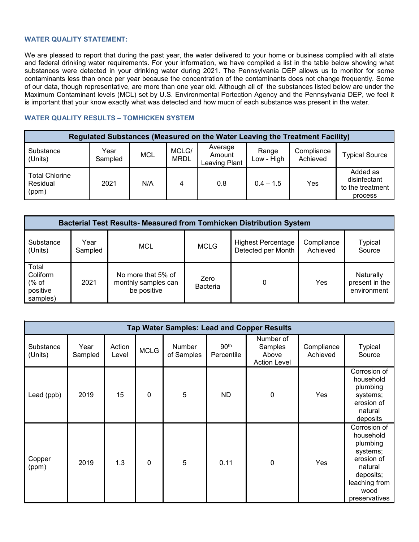# **WATER QUALITY STATEMENT:**

We are pleased to report that during the past year, the water delivered to your home or business complied with all state and federal drinking water requirements. For your information, we have compiled a list in the table below showing what substances were detected in your drinking water during 2021. The Pennsylvania DEP allows us to monitor for some contaminants less than once per year because the concentration of the contaminants does not change frequently. Some of our data, though representative, are more than one year old. Although all of the substances listed below are under the Maximum Contaminant levels (MCL) set by U.S. Environmental Portection Agency and the Pennsylvania DEP, we feel it is important that your know exactly what was detected and how mucn of each substance was present in the water.

# **WATER QUALITY RESULTS – TOMHICKEN SYSTEM**

| Regulated Substances (Measured on the Water Leaving the Treatment Facility) |                 |            |                      |                                    |                     |                        |                                                         |  |  |  |
|-----------------------------------------------------------------------------|-----------------|------------|----------------------|------------------------------------|---------------------|------------------------|---------------------------------------------------------|--|--|--|
| Substance<br>(Units)                                                        | Year<br>Sampled | <b>MCL</b> | MCLG/<br><b>MRDL</b> | Average<br>Amount<br>Leaving Plant | Range<br>Low - High | Compliance<br>Achieved | <b>Typical Source</b>                                   |  |  |  |
| <b>Total Chlorine</b><br>Residual<br>(ppm)                                  | 2021            | N/A        | 4                    | 0.8                                | $0.4 - 1.5$         | Yes                    | Added as<br>disinfectant<br>to the treatment<br>process |  |  |  |

| <b>Bacterial Test Results- Measured from Tomhicken Distribution System</b> |                 |                                                          |                         |                                                 |                        |                                            |  |  |  |  |
|----------------------------------------------------------------------------|-----------------|----------------------------------------------------------|-------------------------|-------------------------------------------------|------------------------|--------------------------------------------|--|--|--|--|
| Substance<br>(Units)                                                       | Year<br>Sampled | MCL                                                      | <b>MCLG</b>             | <b>Highest Percentage</b><br>Detected per Month | Compliance<br>Achieved | Typical<br>Source                          |  |  |  |  |
| Total<br>Coliform<br>% of<br>positive<br>samples)                          | 2021            | No more that 5% of<br>monthly samples can<br>be positive | Zero<br><b>Bacteria</b> | 0                                               | Yes                    | Naturally<br>present in the<br>environment |  |  |  |  |

| <b>Tap Water Samples: Lead and Copper Results</b> |                 |                 |             |                      |                                |                                                      |                        |                                                                                                                                   |  |  |
|---------------------------------------------------|-----------------|-----------------|-------------|----------------------|--------------------------------|------------------------------------------------------|------------------------|-----------------------------------------------------------------------------------------------------------------------------------|--|--|
| Substance<br>(Units)                              | Year<br>Sampled | Action<br>Level | <b>MCLG</b> | Number<br>of Samples | 90 <sup>th</sup><br>Percentile | Number of<br>Samples<br>Above<br><b>Action Level</b> | Compliance<br>Achieved | <b>Typical</b><br>Source                                                                                                          |  |  |
| Lead (ppb)                                        | 2019            | 15              | $\mathbf 0$ | 5                    | <b>ND</b>                      | $\mathbf 0$                                          | Yes                    | Corrosion of<br>household<br>plumbing<br>systems;<br>erosion of<br>natural<br>deposits                                            |  |  |
| Copper<br>(ppm)                                   | 2019            | 1.3             | $\mathbf 0$ | 5                    | 0.11                           | $\mathbf 0$                                          | Yes                    | Corrosion of<br>household<br>plumbing<br>systems;<br>erosion of<br>natural<br>deposits;<br>leaching from<br>wood<br>preservatives |  |  |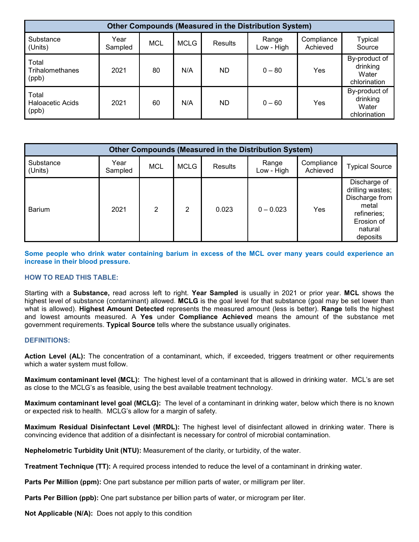| <b>Other Compounds (Measured in the Distribution System)</b> |                 |            |             |                |                     |                        |                                                    |  |  |
|--------------------------------------------------------------|-----------------|------------|-------------|----------------|---------------------|------------------------|----------------------------------------------------|--|--|
| Substance<br>(Units)                                         | Year<br>Sampled | <b>MCL</b> | <b>MCLG</b> | <b>Results</b> | Range<br>Low - High | Compliance<br>Achieved | <b>Typical</b><br>Source                           |  |  |
| Total<br>Trihalomethanes<br>(ppb)                            | 2021            | 80         | N/A         | <b>ND</b>      | $0 - 80$            | Yes                    | By-product of<br>drinking<br>Water<br>chlorination |  |  |
| Total<br><b>Haloacetic Acids</b><br>(ppb)                    | 2021            | 60         | N/A         | <b>ND</b>      | $0 - 60$            | Yes                    | By-product of<br>drinking<br>Water<br>chlorination |  |  |

| <b>Other Compounds (Measured in the Distribution System)</b> |                 |            |             |         |                     |                        |                                                                                                                 |  |  |
|--------------------------------------------------------------|-----------------|------------|-------------|---------|---------------------|------------------------|-----------------------------------------------------------------------------------------------------------------|--|--|
| Substance<br>(Units)                                         | Year<br>Sampled | <b>MCL</b> | <b>MCLG</b> | Results | Range<br>Low - High | Compliance<br>Achieved | <b>Typical Source</b>                                                                                           |  |  |
| <b>Barium</b>                                                | 2021            | 2          | 2           | 0.023   | $0 - 0.023$         | Yes                    | Discharge of<br>drilling wastes;<br>Discharge from<br>metal<br>refineries;<br>Erosion of<br>natural<br>deposits |  |  |

**Some people who drink water containing barium in excess of the MCL over many years could experience an increase in their blood pressure.**

# **HOW TO READ THIS TABLE:**

Starting with a **Substance,** read across left to right. **Year Sampled** is usually in 2021 or prior year. **MCL** shows the highest level of substance (contaminant) allowed. **MCLG** is the goal level for that substance (goal may be set lower than what is allowed). **Highest Amount Detected** represents the measured amount (less is better). **Range** tells the highest and lowest amounts measured. A **Yes** under **Compliance Achieved** means the amount of the substance met government requirements. **Typical Source** tells where the substance usually originates.

## **DEFINITIONS:**

**Action Level (AL):** The concentration of a contaminant, which, if exceeded, triggers treatment or other requirements which a water system must follow.

**Maximum contaminant level (MCL):** The highest level of a contaminant that is allowed in drinking water. MCL's are set as close to the MCLG's as feasible, using the best available treatment technology.

**Maximum contaminant level goal (MCLG):** The level of a contaminant in drinking water, below which there is no known or expected risk to health. MCLG's allow for a margin of safety.

**Maximum Residual Disinfectant Level (MRDL):** The highest level of disinfectant allowed in drinking water. There is convincing evidence that addition of a disinfectant is necessary for control of microbial contamination.

**Nephelometric Turbidity Unit (NTU):** Measurement of the clarity, or turbidity, of the water.

**Treatment Technique (TT):** A required process intended to reduce the level of a contaminant in drinking water.

**Parts Per Million (ppm):** One part substance per million parts of water, or milligram per liter.

**Parts Per Billion (ppb):** One part substance per billion parts of water, or microgram per liter.

**Not Applicable (N/A):** Does not apply to this condition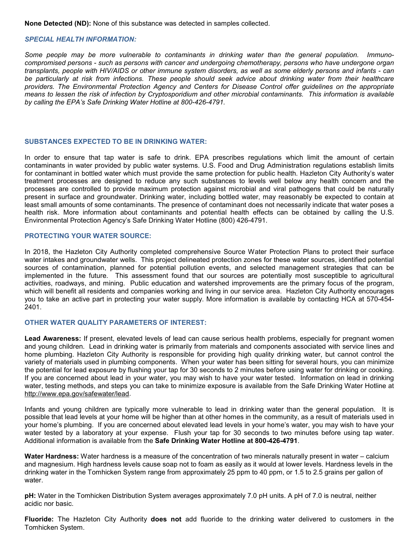**None Detected (ND):** None of this substance was detected in samples collected.

## *SPECIAL HEALTH INFORMATION:*

*Some people may be more vulnerable to contaminants in drinking water than the general population. Immunocompromised persons - such as persons with cancer and undergoing chemotherapy, persons who have undergone organ transplants, people with HIV/AIDS or other immune system disorders, as well as some elderly persons and infants - can be particularly at risk from infections. These people should seek advice about drinking water from their healthcare providers. The Environmental Protection Agency and Centers for Disease Control offer guidelines on the appropriate means to lessen the risk of infection by Cryptosporidium and other microbial contaminants. This information is available by calling the EPA's Safe Drinking Water Hotline at 800-426-4791.*

## **SUBSTANCES EXPECTED TO BE IN DRINKING WATER:**

In order to ensure that tap water is safe to drink. EPA prescribes regulations which limit the amount of certain contaminants in water provided by public water systems. U.S. Food and Drug Administration regulations establish limits for contaminant in bottled water which must provide the same protection for public health. Hazleton City Authority's water treatment processes are designed to reduce any such substances to levels well below any health concern and the processes are controlled to provide maximum protection against microbial and viral pathogens that could be naturally present in surface and groundwater. Drinking water, including bottled water, may reasonably be expected to contain at least small amounts of some contaminants. The presence of contaminant does not necessarily indicate that water poses a health risk. More information about contaminants and potential health effects can be obtained by calling the U.S. Environmental Protection Agency's Safe Drinking Water Hotline (800) 426-4791.

#### **PROTECTING YOUR WATER SOURCE:**

In 2018, the Hazleton City Authority completed comprehensive Source Water Protection Plans to protect their surface water intakes and groundwater wells. This project delineated protection zones for these water sources, identified potential sources of contamination, planned for potential pollution events, and selected management strategies that can be implemented in the future. This assessment found that our sources are potentially most susceptible to agricultural activities, roadways, and mining. Public education and watershed improvements are the primary focus of the program, which will benefit all residents and companies working and living in our service area. Hazleton City Authority encourages you to take an active part in protecting your water supply. More information is available by contacting HCA at 570-454- 2401.

## **OTHER WATER QUALITY PARAMETERS OF INTEREST:**

**Lead Awareness:** If present, elevated levels of lead can cause serious health problems, especially for pregnant women and young children. Lead in drinking water is primarily from materials and components associated with service lines and home plumbing. Hazleton City Authority is responsible for providing high quality drinking water, but cannot control the variety of materials used in plumbing components. When your water has been sitting for several hours, you can minimize the potential for lead exposure by flushing your tap for 30 seconds to 2 minutes before using water for drinking or cooking. If you are concerned about lead in your water, you may wish to have your water tested. Information on lead in drinking water, testing methods, and steps you can take to minimize exposure is available from the Safe Drinking Water Hotline at [http://www.epa.gov/safewater/lead.](http://www.epa.gov/safewater/lead)

Infants and young children are typically more vulnerable to lead in drinking water than the general population. It is possible that lead levels at your home will be higher than at other homes in the community, as a result of materials used in your home's plumbing. If you are concerned about elevated lead levels in your home's water, you may wish to have your water tested by a laboratory at your expense. Flush your tap for 30 seconds to two minutes before using tap water. Additional information is available from the **Safe Drinking Water Hotline at 800-426-4791**.

**Water Hardness:** Water hardness is a measure of the concentration of two minerals naturally present in water – calcium and magnesium. High hardness levels cause soap not to foam as easily as it would at lower levels. Hardness levels in the drinking water in the Tomhicken System range from approximately 25 ppm to 40 ppm, or 1.5 to 2.5 grains per gallon of water.

**pH:** Water in the Tomhicken Distribution System averages approximately 7.0 pH units. A pH of 7.0 is neutral, neither acidic nor basic.

**Fluoride:** The Hazleton City Authority **does not** add fluoride to the drinking water delivered to customers in the Tomhicken System.